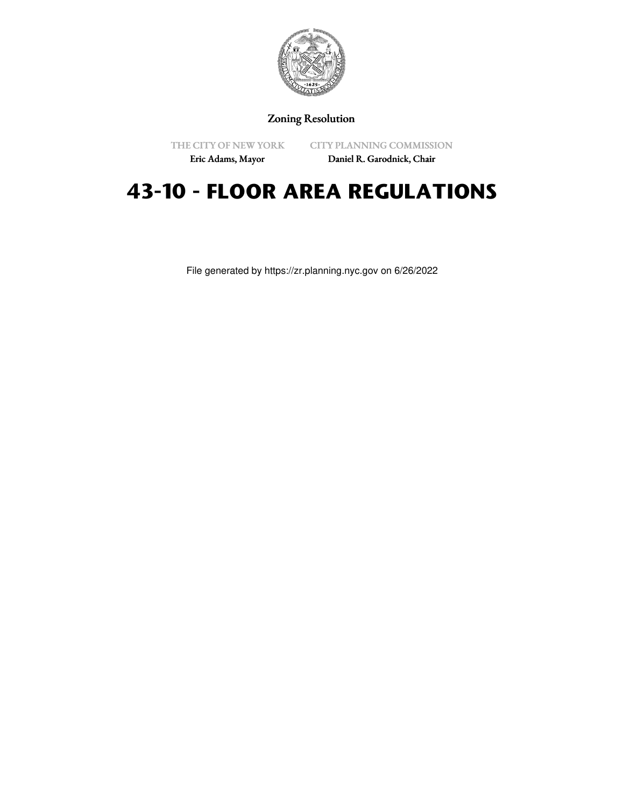

Zoning Resolution

THE CITY OF NEW YORK

CITY PLANNING COMMISSION

Eric Adams, Mayor

Daniel R. Garodnick, Chair

# **43-10 - FLOOR AREA REGULATIONS**

File generated by https://zr.planning.nyc.gov on 6/26/2022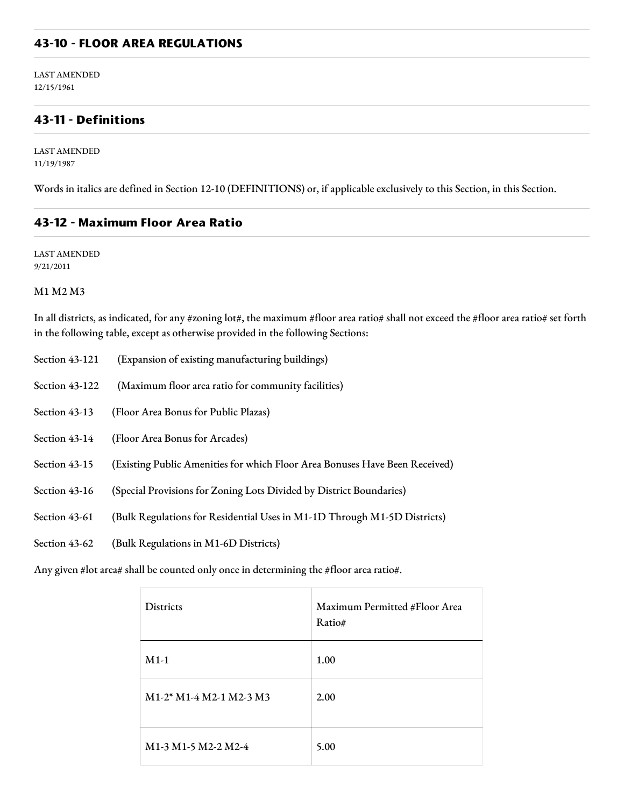#### **43-10 - FLOOR AREA REGULATIONS**

LAST AMENDED 12/15/1961

#### **43-11 - Definitions**

LAST AMENDED 11/19/1987

Words in italics are defined in Section 12-10 (DEFINITIONS) or, if applicable exclusively to this Section, in this Section.

#### **43-12 - Maximum Floor Area Ratio**

LAST AMENDED 9/21/2011

#### M1 M2 M3

In all districts, as indicated, for any #zoning lot#, the maximum #floor area ratio# shall not exceed the #floor area ratio# set forth in the following table, except as otherwise provided in the following Sections:

| Section 43-121 | (Expansion of existing manufacturing buildings)                             |
|----------------|-----------------------------------------------------------------------------|
| Section 43-122 | (Maximum floor area ratio for community facilities)                         |
| Section 43-13  | (Floor Area Bonus for Public Plazas)                                        |
| Section 43-14  | (Floor Area Bonus for Arcades)                                              |
| Section 43-15  | (Existing Public Amenities for which Floor Area Bonuses Have Been Received) |
| Section 43-16  | (Special Provisions for Zoning Lots Divided by District Boundaries)         |
| Section 43-61  | (Bulk Regulations for Residential Uses in M1-1D Through M1-5D Districts)    |
| Section 43-62  | (Bulk Regulations in M1-6D Districts)                                       |

Any given #lot area# shall be counted only once in determining the #floor area ratio#.

| <b>Districts</b>                                                        | Maximum Permitted #Floor Area<br>Ratio# |
|-------------------------------------------------------------------------|-----------------------------------------|
| $M1-1$                                                                  | 1.00                                    |
| M1-2* M1-4 M2-1 M2-3 M3                                                 | 2.00                                    |
| M <sub>1</sub> -3 M <sub>1</sub> -5 M <sub>2</sub> -2 M <sub>2</sub> -4 | 5.00                                    |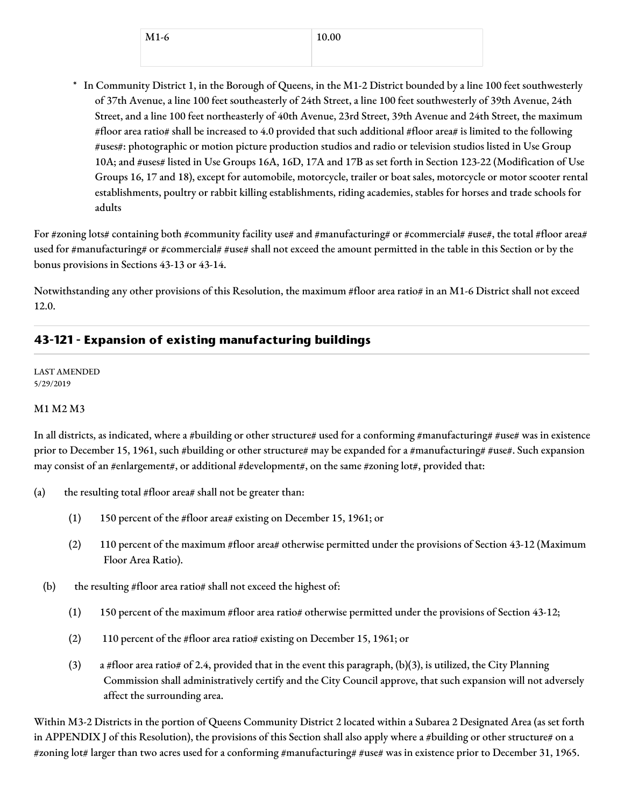| $M1-6$ | 10.00 |
|--------|-------|
|        |       |

\* In Community District 1, in the Borough of Queens, in the M1-2 District bounded by a line 100 feet southwesterly of 37th Avenue, a line 100 feet southeasterly of 24th Street, a line 100 feet southwesterly of 39th Avenue, 24th Street, and a line 100 feet northeasterly of 40th Avenue, 23rd Street, 39th Avenue and 24th Street, the maximum #floor area ratio# shall be increased to 4.0 provided that such additional #floor area# is limited to the following #uses#: photographic or motion picture production studios and radio or television studios listed in Use Group 10A; and #uses# listed in Use Groups 16A, 16D, 17A and 17B as set forth in Section 123-22 (Modification of Use Groups 16, 17 and 18), except for automobile, motorcycle, trailer or boat sales, motorcycle or motor scooter rental establishments, poultry or rabbit killing establishments, riding academies, stables for horses and trade schools for adults

For #zoning lots# containing both #community facility use# and #manufacturing# or #commercial# #use#, the total #floor area# used for #manufacturing# or #commercial# #use# shall not exceed the amount permitted in the table in this Section or by the bonus provisions in Sections 43-13 or 43-14.

Notwithstanding any other provisions of this Resolution, the maximum #floor area ratio# in an M1-6 District shall not exceed 12.0.

# **43-121 - Expansion of existing manufacturing buildings**

LAST AMENDED 5/29/2019

#### M1 M2 M3

In all districts, as indicated, where a #building or other structure# used for a conforming #manufacturing# #use# was in existence prior to December 15, 1961, such #building or other structure# may be expanded for a #manufacturing# #use#. Such expansion may consist of an #enlargement#, or additional #development#, on the same #zoning lot#, provided that:

- (a) the resulting total  $#floor$  area# shall not be greater than:
	- (1) 150 percent of the #floor area# existing on December 15, 1961; or
	- (2) 110 percent of the maximum #floor area# otherwise permitted under the provisions of Section 43-12 (Maximum Floor Area Ratio).
	- (b) the resulting  $#$ floor area ratio $#$  shall not exceed the highest of:
		- (1) 150 percent of the maximum #floor area ratio# otherwise permitted under the provisions of Section 43-12;
		- (2) 110 percent of the #floor area ratio# existing on December 15, 1961; or
		- (3) a #floor area ratio# of 2.4, provided that in the event this paragraph, (b)(3), is utilized, the City Planning Commission shall administratively certify and the City Council approve, that such expansion will not adversely affect the surrounding area.

Within M3-2 Districts in the portion of Queens Community District 2 located within a Subarea 2 Designated Area (as set forth in APPENDIX J of this Resolution), the provisions of this Section shall also apply where a #building or other structure# on a #zoning lot# larger than two acres used for a conforming #manufacturing# #use# was in existence prior to December 31, 1965.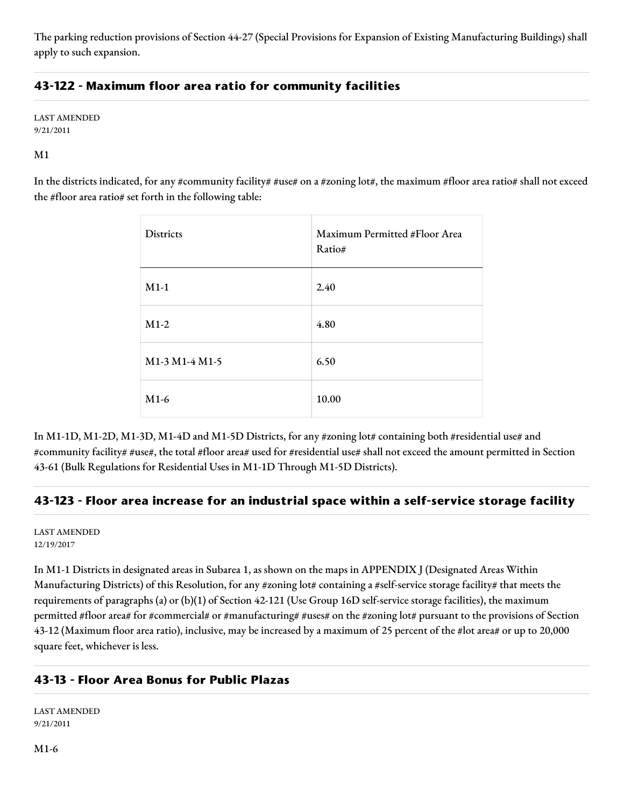The parking reduction provisions of Section 44-27 (Special Provisions for Expansion of Existing Manufacturing Buildings) shall apply to such expansion.

## **43-122 - Maximum floor area ratio for community facilities**

LAST AMENDED 9/21/2011

M1

In the districts indicated, for any #community facility# #use# on a #zoning lot#, the maximum #floor area ratio# shall not exceed the #floor area ratio# set forth in the following table:

| Districts      | Maximum Permitted #Floor Area<br>Ratio# |
|----------------|-----------------------------------------|
| $M1-1$         | 2.40                                    |
| $M1-2$         | 4.80                                    |
| M1-3 M1-4 M1-5 | 6.50                                    |
| $M1-6$         | 10.00                                   |

In M1-1D, M1-2D, M1-3D, M1-4D and M1-5D Districts, for any #zoning lot# containing both #residential use# and #community facility# #use#, the total #floor area# used for #residential use# shall not exceed the amount permitted in Section 43-61 (Bulk Regulations for Residential Uses in M1-1D Through M1-5D Districts).

## **43-123 - Floor area increase for an industrial space within a self-service storage facility**

LAST AMENDED 12/19/2017

In M1-1 Districts in designated areas in Subarea 1, as shown on the maps in APPENDIX J (Designated Areas Within Manufacturing Districts) of this Resolution, for any #zoning lot# containing a #self-service storage facility# that meets the requirements of paragraphs (a) or (b)(1) of Section 42-121 (Use Group 16D self-service storage facilities), the maximum permitted #floor area# for #commercial# or #manufacturing# #uses# on the #zoning lot# pursuant to the provisions of Section 43-12 (Maximum floor area ratio), inclusive, may be increased by a maximum of 25 percent of the #lot area# or up to 20,000 square feet, whichever is less.

## **43-13 - Floor Area Bonus for Public Plazas**

LAST AMENDED 9/21/2011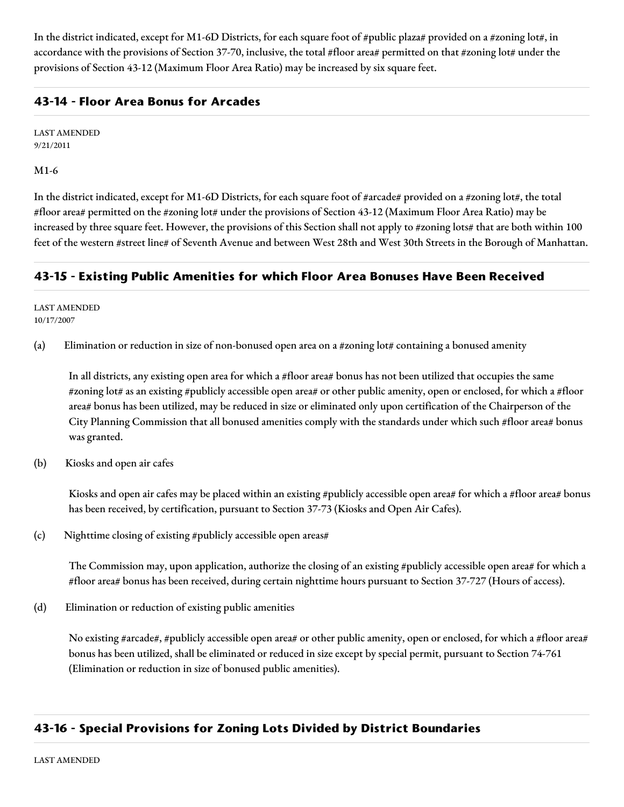In the district indicated, except for M1-6D Districts, for each square foot of #public plaza# provided on a #zoning lot#, in accordance with the provisions of Section 37-70, inclusive, the total #floor area# permitted on that #zoning lot# under the provisions of Section 43-12 (Maximum Floor Area Ratio) may be increased by six square feet.

## **43-14 - Floor Area Bonus for Arcades**

LAST AMENDED 9/21/2011

M1-6

In the district indicated, except for M1-6D Districts, for each square foot of #arcade# provided on a #zoning lot#, the total #floor area# permitted on the #zoning lot# under the provisions of Section 43-12 (Maximum Floor Area Ratio) may be increased by three square feet. However, the provisions of this Section shall not apply to #zoning lots# that are both within 100 feet of the western #street line# of Seventh Avenue and between West 28th and West 30th Streets in the Borough of Manhattan.

## **43-15 - Existing Public Amenities for which Floor Area Bonuses Have Been Received**

LAST AMENDED 10/17/2007

(a) Elimination or reduction in size of non-bonused open area on a #zoning lot# containing a bonused amenity

In all districts, any existing open area for which a #floor area# bonus has not been utilized that occupies the same #zoning lot# as an existing #publicly accessible open area# or other public amenity, open or enclosed, for which a #floor area# bonus has been utilized, may be reduced in size or eliminated only upon certification of the Chairperson of the City Planning Commission that all bonused amenities comply with the standards under which such #floor area# bonus was granted.

(b) Kiosks and open air cafes

Kiosks and open air cafes may be placed within an existing #publicly accessible open area# for which a #floor area# bonus has been received, by certification, pursuant to Section 37-73 (Kiosks and Open Air Cafes).

(c) Nighttime closing of existing #publicly accessible open areas#

The Commission may, upon application, authorize the closing of an existing #publicly accessible open area# for which a #floor area# bonus has been received, during certain nighttime hours pursuant to Section 37-727 (Hours of access).

(d) Elimination or reduction of existing public amenities

No existing #arcade#, #publicly accessible open area# or other public amenity, open or enclosed, for which a #floor area# bonus has been utilized, shall be eliminated or reduced in size except by special permit, pursuant to Section 74-761 (Elimination or reduction in size of bonused public amenities).

## **43-16 - Special Provisions for Zoning Lots Divided by District Boundaries**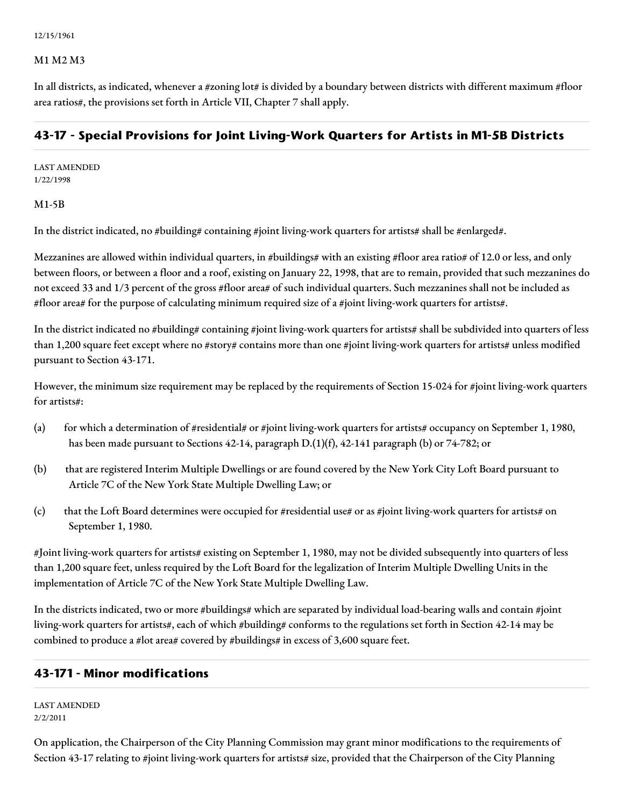12/15/1961

#### M1 M2 M3

In all districts, as indicated, whenever a #zoning lot# is divided by a boundary between districts with different maximum #floor area ratios#, the provisions set forth in Article VII, Chapter 7 shall apply.

### **43-17 - Special Provisions for Joint Living-Work Quarters for Artists in M1-5B Districts**

LAST AMENDED 1/22/1998

#### M1-5B

In the district indicated, no #building# containing #joint living-work quarters for artists# shall be #enlarged#.

Mezzanines are allowed within individual quarters, in #buildings# with an existing #floor area ratio# of 12.0 or less, and only between floors, or between a floor and a roof, existing on January 22, 1998, that are to remain, provided that such mezzanines do not exceed 33 and 1/3 percent of the gross #floor area# of such individual quarters. Such mezzanines shall not be included as #floor area# for the purpose of calculating minimum required size of a #joint living-work quarters for artists#.

In the district indicated no #building# containing #joint living-work quarters for artists# shall be subdivided into quarters of less than 1,200 square feet except where no #story# contains more than one #joint living-work quarters for artists# unless modified pursuant to Section 43-171.

However, the minimum size requirement may be replaced by the requirements of Section 15-024 for #joint living-work quarters for artists#:

- (a) for which a determination of #residential# or #joint living-work quarters for artists# occupancy on September 1, 1980, has been made pursuant to Sections 42-14, paragraph D.(1)(f), 42-141 paragraph (b) or 74-782; or
- (b) that are registered Interim Multiple Dwellings or are found covered by the New York City Loft Board pursuant to Article 7C of the New York State Multiple Dwelling Law; or
- (c) that the Loft Board determines were occupied for #residential use# or as #joint living-work quarters for artists# on September 1, 1980.

#Joint living-work quarters for artists# existing on September 1, 1980, may not be divided subsequently into quarters of less than 1,200 square feet, unless required by the Loft Board for the legalization of Interim Multiple Dwelling Units in the implementation of Article 7C of the New York State Multiple Dwelling Law.

In the districts indicated, two or more #buildings# which are separated by individual load-bearing walls and contain #joint living-work quarters for artists#, each of which #building# conforms to the regulations set forth in Section 42-14 may be combined to produce a #lot area# covered by #buildings# in excess of 3,600 square feet.

#### **43-171 - Minor modifications**

LAST AMENDED 2/2/2011

On application, the Chairperson of the City Planning Commission may grant minor modifications to the requirements of Section 43-17 relating to #joint living-work quarters for artists# size, provided that the Chairperson of the City Planning